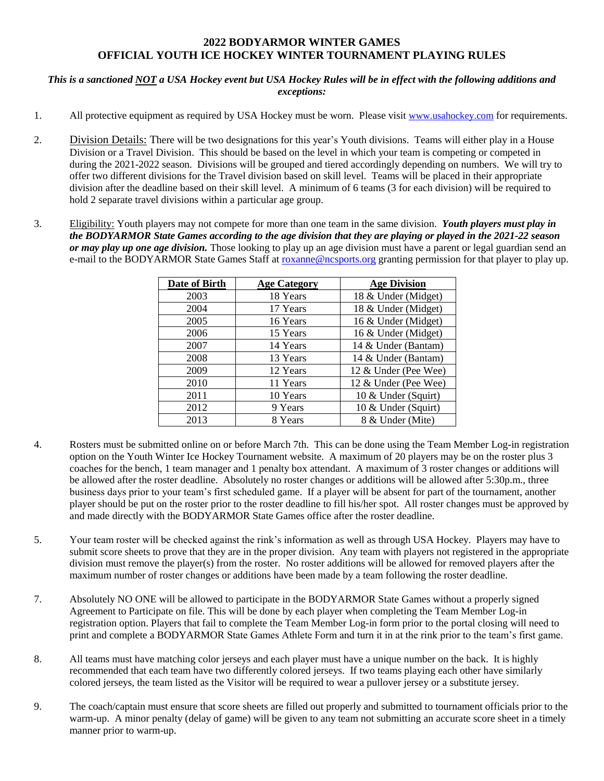## **2022 BODYARMOR WINTER GAMES OFFICIAL YOUTH ICE HOCKEY WINTER TOURNAMENT PLAYING RULES**

## *This is a sanctioned NOT a USA Hockey event but USA Hockey Rules will be in effect with the following additions and exceptions:*

- 1. All protective equipment as required by USA Hockey must be worn. Please visit [www.usahockey.com](http://www.usahockey.com/) for requirements.
- 2. Division Details: There will be two designations for this year's Youth divisions. Teams will either play in a House Division or a Travel Division. This should be based on the level in which your team is competing or competed in during the 2021-2022 season. Divisions will be grouped and tiered accordingly depending on numbers. We will try to offer two different divisions for the Travel division based on skill level. Teams will be placed in their appropriate division after the deadline based on their skill level. A minimum of 6 teams (3 for each division) will be required to hold 2 separate travel divisions within a particular age group.
- 3. Eligibility: Youth players may not compete for more than one team in the same division. *Youth players must play in the BODYARMOR State Games according to the age division that they are playing or played in the 2021-22 season or may play up one age division.* Those looking to play up an age division must have a parent or legal guardian send an e-mail to the BODYARMOR State Games Staff at [roxanne@ncsports.org](mailto:roxanne@ncsports.org) granting permission for that player to play up.

| Date of Birth | <b>Age Category</b> | <b>Age Division</b>  |
|---------------|---------------------|----------------------|
| 2003          | 18 Years            | 18 & Under (Midget)  |
| 2004          | 17 Years            | 18 & Under (Midget)  |
| 2005          | 16 Years            | 16 & Under (Midget)  |
| 2006          | 15 Years            | 16 & Under (Midget)  |
| 2007          | 14 Years            | 14 & Under (Bantam)  |
| 2008          | 13 Years            | 14 & Under (Bantam)  |
| 2009          | 12 Years            | 12 & Under (Pee Wee) |
| 2010          | 11 Years            | 12 & Under (Pee Wee) |
| 2011          | 10 Years            | 10 & Under (Squirt)  |
| 2012          | 9 Years             | 10 & Under (Squirt)  |
| 2013          | 8 Years             | 8 & Under (Mite)     |

- 4. Rosters must be submitted online on or before March 7th. This can be done using the Team Member Log-in registration option on the Youth Winter Ice Hockey Tournament website. A maximum of 20 players may be on the roster plus 3 coaches for the bench, 1 team manager and 1 penalty box attendant. A maximum of 3 roster changes or additions will be allowed after the roster deadline. Absolutely no roster changes or additions will be allowed after 5:30p.m., three business days prior to your team's first scheduled game. If a player will be absent for part of the tournament, another player should be put on the roster prior to the roster deadline to fill his/her spot. All roster changes must be approved by and made directly with the BODYARMOR State Games office after the roster deadline.
- 5. Your team roster will be checked against the rink's information as well as through USA Hockey. Players may have to submit score sheets to prove that they are in the proper division. Any team with players not registered in the appropriate division must remove the player(s) from the roster. No roster additions will be allowed for removed players after the maximum number of roster changes or additions have been made by a team following the roster deadline.
- 7. Absolutely NO ONE will be allowed to participate in the BODYARMOR State Games without a properly signed Agreement to Participate on file. This will be done by each player when completing the Team Member Log-in registration option. Players that fail to complete the Team Member Log-in form prior to the portal closing will need to print and complete a BODYARMOR State Games Athlete Form and turn it in at the rink prior to the team's first game.
- 8. All teams must have matching color jerseys and each player must have a unique number on the back. It is highly recommended that each team have two differently colored jerseys. If two teams playing each other have similarly colored jerseys, the team listed as the Visitor will be required to wear a pullover jersey or a substitute jersey.
- 9. The coach/captain must ensure that score sheets are filled out properly and submitted to tournament officials prior to the warm-up. A minor penalty (delay of game) will be given to any team not submitting an accurate score sheet in a timely manner prior to warm-up.